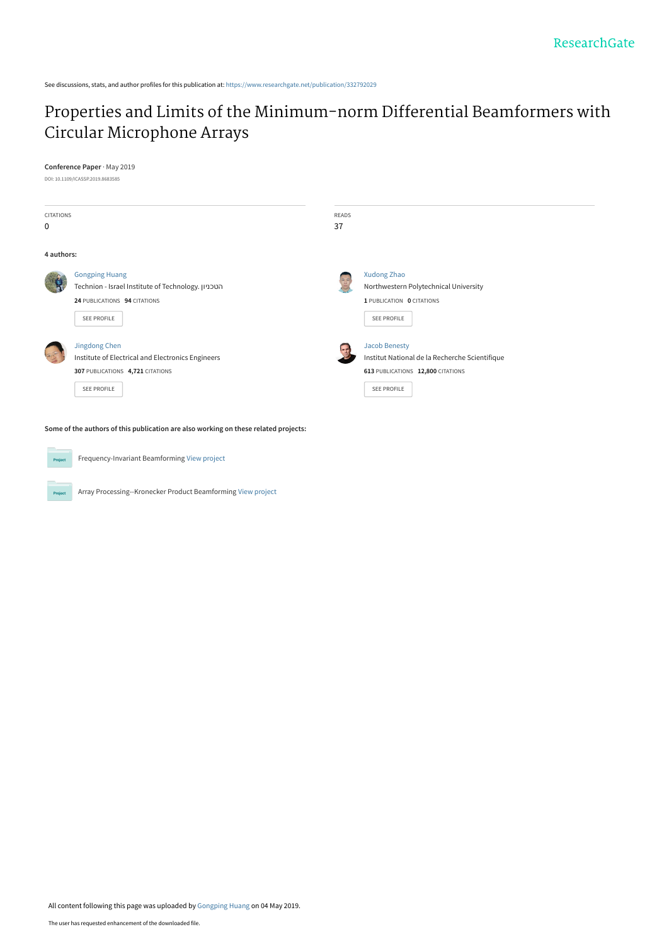See discussions, stats, and author profiles for this publication at: [https://www.researchgate.net/publication/332792029](https://www.researchgate.net/publication/332792029_Properties_and_Limits_of_the_Minimum-norm_Differential_Beamformers_with_Circular_Microphone_Arrays?enrichId=rgreq-21cb6c2f9f276da4933bbb15a1d02764-XXX&enrichSource=Y292ZXJQYWdlOzMzMjc5MjAyOTtBUzo3NTQ3NTQxODc3MTA0NjRAMTU1Njk1ODgyOTMwMA%3D%3D&el=1_x_2&_esc=publicationCoverPdf)

# [Properties and Limits of the Minimum-norm Differential Beamformers with](https://www.researchgate.net/publication/332792029_Properties_and_Limits_of_the_Minimum-norm_Differential_Beamformers_with_Circular_Microphone_Arrays?enrichId=rgreq-21cb6c2f9f276da4933bbb15a1d02764-XXX&enrichSource=Y292ZXJQYWdlOzMzMjc5MjAyOTtBUzo3NTQ3NTQxODc3MTA0NjRAMTU1Njk1ODgyOTMwMA%3D%3D&el=1_x_3&_esc=publicationCoverPdf) Circular Microphone Arrays

## **Conference Paper** · May 2019

DOI: 10.1109/ICASSP.2019.8683585

| <b>CITATIONS</b><br>0 |                                                                                                                            | <b>READS</b><br>37                                                                                                         |  |
|-----------------------|----------------------------------------------------------------------------------------------------------------------------|----------------------------------------------------------------------------------------------------------------------------|--|
| 4 authors:            |                                                                                                                            |                                                                                                                            |  |
|                       | <b>Gongping Huang</b><br>Technion - Israel Institute of Technology. הטכניון<br>24 PUBLICATIONS 94 CITATIONS<br>SEE PROFILE | Xudong Zhao<br>Northwestern Polytechnical University<br>1 PUBLICATION 0 CITATIONS<br>SEE PROFILE                           |  |
|                       | Jingdong Chen<br>Institute of Electrical and Electronics Engineers<br>307 PUBLICATIONS 4,721 CITATIONS<br>SEE PROFILE      | <b>Jacob Benesty</b><br>Institut National de la Recherche Scientifique<br>613 PUBLICATIONS 12,800 CITATIONS<br>SEE PROFILE |  |

**Some of the authors of this publication are also working on these related projects:**



Project

Frequency-Invariant Beamforming [View project](https://www.researchgate.net/project/Frequency-Invariant-Beamforming-2?enrichId=rgreq-21cb6c2f9f276da4933bbb15a1d02764-XXX&enrichSource=Y292ZXJQYWdlOzMzMjc5MjAyOTtBUzo3NTQ3NTQxODc3MTA0NjRAMTU1Njk1ODgyOTMwMA%3D%3D&el=1_x_9&_esc=publicationCoverPdf)

Array Processing--Kronecker Product Beamforming [View project](https://www.researchgate.net/project/Array-Processing--Kronecker-Product-Beamforming?enrichId=rgreq-21cb6c2f9f276da4933bbb15a1d02764-XXX&enrichSource=Y292ZXJQYWdlOzMzMjc5MjAyOTtBUzo3NTQ3NTQxODc3MTA0NjRAMTU1Njk1ODgyOTMwMA%3D%3D&el=1_x_9&_esc=publicationCoverPdf)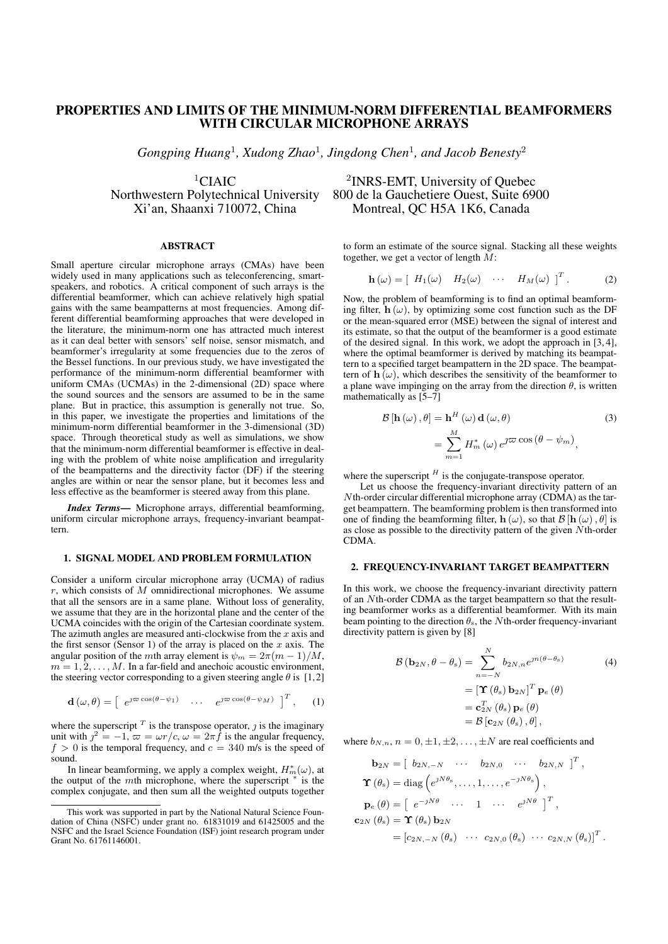# PROPERTIES AND LIMITS OF THE MINIMUM-NORM DIFFERENTIAL BEAMFORMERS WITH CIRCULAR MICROPHONE ARRAYS

*Gongping Huang*<sup>1</sup> *, Xudong Zhao*<sup>1</sup> *, Jingdong Chen*<sup>1</sup> *, and Jacob Benesty*<sup>2</sup>

<sup>1</sup>CIAIC<br>Northwestern Polytechnical University

#### ABSTRACT

Small aperture circular microphone arrays (CMAs) have been widely used in many applications such as teleconferencing, smartspeakers, and robotics. A critical component of such arrays is the differential beamformer, which can achieve relatively high spatial gains with the same beampatterns at most frequencies. Among different differential beamforming approaches that were developed in the literature, the minimum-norm one has attracted much interest as it can deal better with sensors' self noise, sensor mismatch, and beamformer's irregularity at some frequencies due to the zeros of the Bessel functions. In our previous study, we have investigated the performance of the minimum-norm differential beamformer with uniform CMAs (UCMAs) in the 2-dimensional (2D) space where the sound sources and the sensors are assumed to be in the same plane. But in practice, this assumption is generally not true. So, in this paper, we investigate the properties and limitations of the minimum-norm differential beamformer in the 3-dimensional (3D) space. Through theoretical study as well as simulations, we show that the minimum-norm differential beamformer is effective in dealing with the problem of white noise amplification and irregularity of the beampatterns and the directivity factor (DF) if the steering angles are within or near the sensor plane, but it becomes less and less effective as the beamformer is steered away from this plane.

*Index Terms*— Microphone arrays, differential beamforming, uniform circular microphone arrays, frequency-invariant beampattern.

### 1. SIGNAL MODEL AND PROBLEM FORMULATION

Consider a uniform circular microphone array (UCMA) of radius  $r$ , which consists of  $M$  omnidirectional microphones. We assume that all the sensors are in a same plane. Without loss of generality, we assume that they are in the horizontal plane and the center of the UCMA coincides with the origin of the Cartesian coordinate system. The azimuth angles are measured anti-clockwise from the  $x$  axis and the first sensor (Sensor 1) of the array is placed on the x axis. The angular position of the mth array element is  $\psi_m = 2\pi (m-1)/M$ ,  $m = 1, 2, \ldots, M$ . In a far-field and anechoic acoustic environment, the steering vector corresponding to a given steering angle  $\theta$  is [1,2]

$$
\mathbf{d}\left(\omega,\theta\right) = \left[\begin{array}{ccc} e^{\jmath\varpi\cos\left(\theta-\psi_1\right)} & \cdots & e^{\jmath\varpi\cos\left(\theta-\psi_M\right)} \end{array}\right]^T, \quad (1)
$$

where the superscript  $<sup>T</sup>$  is the transpose operator,  $\jmath$  is the imaginary</sup> unit with  $j^2 = -1$ ,  $\varpi = \omega r/c$ ,  $\omega = 2\pi \hat{f}$  is the angular frequency,  $f > 0$  is the temporal frequency, and  $c = 340$  m/s is the speed of sound.

In linear beamforming, we apply a complex weight,  $H_m^*(\omega)$ , at the output of the *mth* microphone, where the superscript  $\ddot{ }$  $\overline{\phantom{a}}$  is the complex conjugate, and then sum all the weighted outputs together

# <sup>2</sup>INRS-EMT, University of Quebec thwestern Polytechnical University 800 de la Gauchetiere Ouest, Suite 6900<br>Xi'an, Shaanxi 710072, China Montreal, QC H5A 1K6, Canada Montreal, QC H5A 1K6, Canada

to form an estimate of the source signal. Stacking all these weights together, we get a vector of length  $M$ :

$$
\mathbf{h}(\omega) = \left[ H_1(\omega) \quad H_2(\omega) \quad \cdots \quad H_M(\omega) \right]^T. \tag{2}
$$

Now, the problem of beamforming is to find an optimal beamforming filter,  $h(\omega)$ , by optimizing some cost function such as the DF or the mean-squared error (MSE) between the signal of interest and its estimate, so that the output of the beamformer is a good estimate of the desired signal. In this work, we adopt the approach in [3, 4], where the optimal beamformer is derived by matching its beampattern to a specified target beampattern in the 2D space. The beampattern of  $h(\omega)$ , which describes the sensitivity of the beamformer to a plane wave impinging on the array from the direction  $\theta$ , is written mathematically as  $[5-7]$ 

$$
\mathcal{B}[\mathbf{h}(\omega), \theta] = \mathbf{h}^{H}(\omega) \mathbf{d}(\omega, \theta)
$$
  
= 
$$
\sum_{m=1}^{M} H_{m}^{*}(\omega) e^{\jmath \varpi \cos (\theta - \psi_{m})},
$$
 (3)

where the superscript  $<sup>H</sup>$  is the conjugate-transpose operator.</sup>

Let us choose the frequency-invariant directivity pattern of an Nth-order circular differential microphone array (CDMA) as the target beampattern. The beamforming problem is then transformed into one of finding the beamforming filter,  $h(\omega)$ , so that  $\mathcal{B}[h(\omega), \theta]$  is as close as possible to the directivity pattern of the given Nth-order CDMA.

#### 2. FREQUENCY-INVARIANT TARGET BEAMPATTERN

In this work, we choose the frequency-invariant directivity pattern of an Nth-order CDMA as the target beampattern so that the resulting beamformer works as a differential beamformer. With its main beam pointing to the direction  $\theta_s$ , the Nth-order frequency-invariant directivity pattern is given by [8]

$$
\mathcal{B}(\mathbf{b}_{2N}, \theta - \theta_{s}) = \sum_{n=-N}^{N} b_{2N,n} e^{jn(\theta - \theta_{s})}
$$
(4)  

$$
= \left[\mathbf{\hat{T}}(\theta_{s}) \mathbf{b}_{2N}\right]^{T} \mathbf{p}_{e}(\theta)
$$

$$
= \mathbf{c}_{2N}^{T}(\theta_{s}) \mathbf{p}_{e}(\theta)
$$

$$
= \mathcal{B}[\mathbf{c}_{2N}(\theta_{s}), \theta],
$$

where  $b_{N,n}$ ,  $n = 0, \pm 1, \pm 2, \ldots, \pm N$  are real coefficients and

$$
\mathbf{b}_{2N} = \begin{bmatrix} b_{2N,-N} & \cdots & b_{2N,0} & \cdots & b_{2N,N} \end{bmatrix}^T,
$$
  
\n
$$
\mathbf{\Upsilon}(\theta_s) = \text{diag}\left(e^{jN\theta_s}, \dots, 1, \dots, e^{-jN\theta_s}\right),
$$
  
\n
$$
\mathbf{p}_e(\theta) = \begin{bmatrix} e^{-jN\theta} & \cdots & 1 & \cdots & e^{jN\theta} \end{bmatrix}^T,
$$
  
\n
$$
\mathbf{c}_{2N}(\theta_s) = \mathbf{\Upsilon}(\theta_s) \mathbf{b}_{2N}
$$
  
\n
$$
= \begin{bmatrix} c_{2N,-N}(\theta_s) & \cdots & c_{2N,0}(\theta_s) & \cdots & c_{2N,N}(\theta_s) \end{bmatrix}^T.
$$

This work was supported in part by the National Natural Science Foundation of China (NSFC) under grant no. 61831019 and 61425005 and the NSFC and the Israel Science Foundation (ISF) joint research program under Grant No. 61761146001.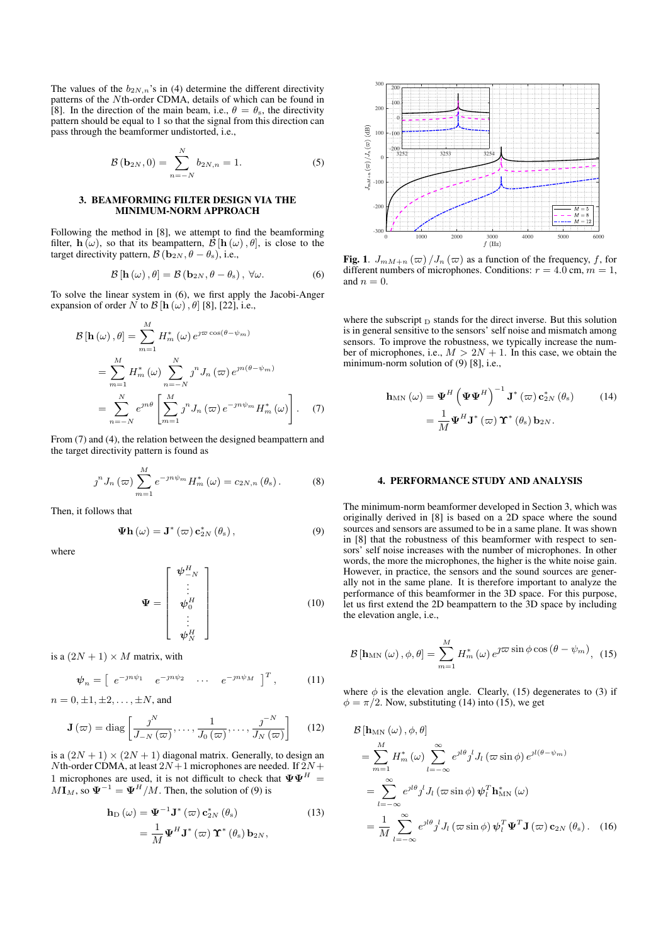The values of the  $b_{2N,n}$ 's in (4) determine the different directivity patterns of the Nth-order CDMA, details of which can be found in [8]. In the direction of the main beam, i.e.,  $\theta = \theta_s$ , the directivity pattern should be equal to 1 so that the signal from this direction can pass through the beamformer undistorted, i.e.,

$$
\mathcal{B}(\mathbf{b}_{2N},0) = \sum_{n=-N}^{N} b_{2N,n} = 1.
$$
 (5)

#### 3. BEAMFORMING FILTER DESIGN VIA THE MINIMUM-NORM APPROACH

Following the method in [8], we attempt to find the beamforming filter,  $h(\omega)$ , so that its beampattern,  $\hat{\mathcal{B}}$  [h ( $\omega$ ),  $\theta$ ], is close to the target directivity pattern,  $\mathcal{B}$  ( $\mathbf{b}_{2N}$ ,  $\theta - \theta_s$ ), i.e.,

$$
\mathcal{B}\left[\mathbf{h}\left(\omega\right),\theta\right]=\mathcal{B}\left(\mathbf{b}_{2N},\theta-\theta_{\mathrm{s}}\right),\ \forall\omega.\tag{6}
$$

To solve the linear system in (6), we first apply the Jacobi-Anger expansion of order N to  $\mathcal{B}$  [h  $(\omega)$ ,  $\theta$ ] [8], [22], i.e.,

$$
\mathcal{B}[\mathbf{h}(\omega), \theta] = \sum_{m=1}^{M} H_m^*(\omega) e^{j\omega \cos(\theta - \psi_m)}
$$
  
= 
$$
\sum_{m=1}^{M} H_m^*(\omega) \sum_{n=-N}^{N} j^n J_n(\omega) e^{jn(\theta - \psi_m)}
$$
  
= 
$$
\sum_{n=-N}^{N} e^{jn\theta} \left[ \sum_{m=1}^{M} j^n J_n(\omega) e^{-jn\psi_m} H_m^*(\omega) \right].
$$
 (7)

From (7) and (4), the relation between the designed beampattern and the target directivity pattern is found as

$$
\jmath^{n} J_{n} \left( \varpi \right) \sum_{m=1}^{M} e^{-j n \psi_{m}} H_{m}^{*} \left( \omega \right) = c_{2N,n} \left( \theta_{s} \right). \tag{8}
$$

Then, it follows that

$$
\mathbf{\Psi} \mathbf{h} \left( \omega \right) = \mathbf{J}^* \left( \varpi \right) \mathbf{c}_{2N}^* \left( \theta_{\mathrm{s}} \right), \tag{9}
$$

where

$$
\mathbf{\Psi} = \begin{bmatrix} \mathbf{\psi}_{-N}^{H} \\ \vdots \\ \mathbf{\psi}_{0}^{H} \\ \vdots \\ \mathbf{\psi}_{N}^{H} \end{bmatrix}
$$
 (10)

is a  $(2N + 1) \times M$  matrix, with

$$
\psi_n = \left[ \begin{array}{cccc} e^{-jn\psi_1} & e^{-jn\psi_2} & \cdots & e^{-jn\psi_M} \end{array} \right]^T, \quad (11)
$$

 $n = 0, \pm 1, \pm 2, \ldots, \pm N$ , and

$$
\mathbf{J}\left(\varpi\right) = \text{diag}\left[\frac{\jmath^{N}}{J_{-N}\left(\varpi\right)}, \dots, \frac{1}{J_{0}\left(\varpi\right)}, \dots, \frac{\jmath^{N}}{J_{N}\left(\varpi\right)}\right] \quad (12)
$$

is a  $(2N + 1) \times (2N + 1)$  diagonal matrix. Generally, to design an Nth-order CDMA, at least  $2N+1$  microphones are needed. If  $2N+$ 1 microphones are used, it is not difficult to check that  $\Psi \Psi^H =$  $M\mathbf{I}_M$ , so  $\mathbf{\Psi}^{-1} = \mathbf{\Psi}^H/M$ . Then, the solution of (9) is

$$
\mathbf{h}_{\mathrm{D}}\left(\omega\right) = \mathbf{\Psi}^{-1}\mathbf{J}^*\left(\varpi\right)\mathbf{c}_{2N}^*\left(\theta_{\mathrm{s}}\right) \n= \frac{1}{M}\mathbf{\Psi}^H\mathbf{J}^*\left(\varpi\right)\mathbf{\Upsilon}^*\left(\theta_{\mathrm{s}}\right)\mathbf{b}_{2N},
$$
\n(13)



Fig. 1.  $J_{mM+n}(\varpi) / J_n(\varpi)$  as a function of the frequency, f, for different numbers of microphones. Conditions:  $r = 4.0$  cm,  $m = 1$ , and  $n = 0$ .

where the subscript  $_D$  stands for the direct inverse. But this solution is in general sensitive to the sensors' self noise and mismatch among sensors. To improve the robustness, we typically increase the number of microphones, i.e.,  $M > 2N + 1$ . In this case, we obtain the minimum-norm solution of (9) [8], i.e.,

$$
\mathbf{h}_{MN}(\omega) = \mathbf{\Psi}^{H} \left( \mathbf{\Psi} \mathbf{\Psi}^{H} \right)^{-1} \mathbf{J}^{*} (\varpi) \mathbf{c}_{2N}^{*} (\theta_{s}) \qquad (14)
$$

$$
= \frac{1}{M} \mathbf{\Psi}^{H} \mathbf{J}^{*} (\varpi) \mathbf{\Upsilon}^{*} (\theta_{s}) \mathbf{b}_{2N}.
$$

#### 4. PERFORMANCE STUDY AND ANALYSIS

The minimum-norm beamformer developed in Section 3, which was originally derived in [8] is based on a 2D space where the sound sources and sensors are assumed to be in a same plane. It was shown in [8] that the robustness of this beamformer with respect to sensors' self noise increases with the number of microphones. In other words, the more the microphones, the higher is the white noise gain. However, in practice, the sensors and the sound sources are generally not in the same plane. It is therefore important to analyze the performance of this beamformer in the 3D space. For this purpose, let us first extend the 2D beampattern to the 3D space by including the elevation angle, i.e.,

$$
\mathcal{B}\left[\mathbf{h}_{\mathrm{MN}}\left(\omega\right),\phi,\theta\right] = \sum_{m=1}^{M} H_{m}^{*}\left(\omega\right) e^{\jmath\varpi\sin\phi\cos\left(\theta-\psi_{m}\right)}, \tag{15}
$$

where  $\phi$  is the elevation angle. Clearly, (15) degenerates to (3) if  $\phi = \pi/2$ . Now, substituting (14) into (15), we get

$$
\mathcal{B}[\mathbf{h}_{\text{MN}}(\omega), \phi, \theta]
$$
\n
$$
= \sum_{m=1}^{M} H_m^*(\omega) \sum_{l=-\infty}^{\infty} e^{jl\theta} j^l J_l(\omega \sin \phi) e^{jl(\theta - \psi_m)}
$$
\n
$$
= \sum_{l=-\infty}^{\infty} e^{jl\theta} j^l J_l(\omega \sin \phi) \psi_l^T \mathbf{h}_{\text{MN}}^*(\omega)
$$
\n
$$
= \frac{1}{M} \sum_{l=-\infty}^{\infty} e^{jl\theta} j^l J_l(\omega \sin \phi) \psi_l^T \mathbf{\Psi}^T \mathbf{J}(\omega) \mathbf{c}_{2N}(\theta_s). \quad (16)
$$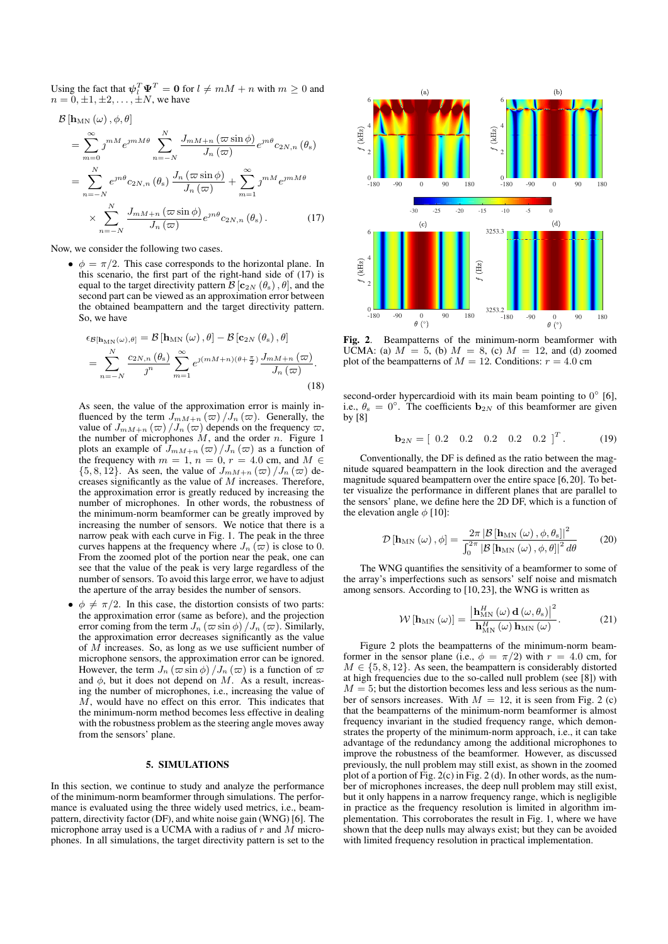Using the fact that  $\psi_l^T \Psi^T = \mathbf{0}$  for  $l \neq mM + n$  with  $m \geq 0$  and  $n = 0, \pm 1, \pm 2, \ldots, \pm N$ , we have

$$
\mathcal{B}[\mathbf{h}_{\text{MN}}(\omega), \phi, \theta]
$$
\n
$$
= \sum_{m=0}^{\infty} \jmath^{mM} e^{\jmath m M \theta} \sum_{n=-N}^{N} \frac{J_{mM+n}(\varpi \sin \phi)}{J_n(\varpi)} e^{\jmath n \theta} c_{2N,n}(\theta_{\text{s}})
$$
\n
$$
= \sum_{n=-N}^{N} e^{\jmath n \theta} c_{2N,n}(\theta_{\text{s}}) \frac{J_n(\varpi \sin \phi)}{J_n(\varpi)} + \sum_{m=1}^{\infty} \jmath^{mM} e^{\jmath m M \theta}
$$
\n
$$
\times \sum_{n=-N}^{N} \frac{J_{mM+n}(\varpi \sin \phi)}{J_n(\varpi)} e^{\jmath n \theta} c_{2N,n}(\theta_{\text{s}}).
$$
\n(17)

Now, we consider the following two cases.

•  $\phi = \pi/2$ . This case corresponds to the horizontal plane. In this scenario, the first part of the right-hand side of (17) is equal to the target directivity pattern  $\mathcal{B}[\mathbf{c}_{2N}(\theta_{s}), \theta]$ , and the second part can be viewed as an approximation error between the obtained beampattern and the target directivity pattern. So, we have

$$
\epsilon_{\mathcal{B}[\mathbf{h}_{\mathrm{MN}}(\omega),\theta]} = \mathcal{B}[\mathbf{h}_{\mathrm{MN}}(\omega),\theta] - \mathcal{B}[\mathbf{c}_{2N}(\theta_{\mathrm{s}}),\theta]
$$
  
= 
$$
\sum_{n=-N}^{N} \frac{c_{2N,n}(\theta_{\mathrm{s}})}{j^n} \sum_{m=1}^{\infty} e^{j(mM+n)(\theta + \frac{\pi}{2})} \frac{J_{mM+n}(\varpi)}{J_n(\varpi)}.
$$
 (18)

As seen, the value of the approximation error is mainly influenced by the term  $J_{mM+n}(\varpi) / J_n(\varpi)$ . Generally, the value of  $J_{mM+n} (\varpi) / J_n (\varpi)$  depends on the frequency  $\varpi$ , the number of microphones  $M$ , and the order  $n$ . Figure 1 plots an example of  $J_{mM+n}(\varpi) / J_n(\varpi)$  as a function of the frequency with  $m = 1$ ,  $n = 0$ ,  $r = 4.0$  cm, and  $M \in$  $\{5, 8, 12\}$ . As seen, the value of  $J_{mM+n}(\varpi) /J_n(\varpi)$  decreases significantly as the value of M increases. Therefore, the approximation error is greatly reduced by increasing the number of microphones. In other words, the robustness of the minimum-norm beamformer can be greatly improved by increasing the number of sensors. We notice that there is a narrow peak with each curve in Fig. 1. The peak in the three curves happens at the frequency where  $J_n(\overline{\omega})$  is close to 0. From the zoomed plot of the portion near the peak, one can see that the value of the peak is very large regardless of the number of sensors. To avoid this large error, we have to adjust the aperture of the array besides the number of sensors.

•  $\phi \neq \pi/2$ . In this case, the distortion consists of two parts: the approximation error (same as before), and the projection error coming from the term  $J_n$  ( $\varpi$  sin  $\phi$ ) / $J_n$  ( $\varpi$ ). Similarly, the approximation error decreases significantly as the value of M increases. So, as long as we use sufficient number of microphone sensors, the approximation error can be ignored. However, the term  $J_n (\varpi \sin \phi) / J_n (\varpi)$  is a function of  $\varpi$ and  $\phi$ , but it does not depend on M. As a result, increasing the number of microphones, i.e., increasing the value of M, would have no effect on this error. This indicates that the minimum-norm method becomes less effective in dealing with the robustness problem as the steering angle moves away from the sensors' plane.

#### 5. SIMULATIONS

In this section, we continue to study and analyze the performance of the minimum-norm beamformer through simulations. The performance is evaluated using the three widely used metrics, i.e., beampattern, directivity factor (DF), and white noise gain (WNG) [6]. The microphone array used is a UCMA with a radius of  $r$  and  $M$  microphones. In all simulations, the target directivity pattern is set to the



Fig. 2. Beampatterns of the minimum-norm beamformer with UCMA: (a)  $M = 5$ , (b)  $M = 8$ , (c)  $M = 12$ , and (d) zoomed plot of the beampatterns of  $M = 12$ . Conditions:  $r = 4.0$  cm

second-order hypercardioid with its main beam pointing to  $0^{\circ}$  [6], i.e.,  $\theta_s = 0^\circ$ . The coefficients  $b_{2N}$  of this beamformer are given by [8]

$$
\mathbf{b}_{2N} = \begin{bmatrix} 0.2 & 0.2 & 0.2 & 0.2 & 0.2 \end{bmatrix}^T. \tag{19}
$$

Conventionally, the DF is defined as the ratio between the magnitude squared beampattern in the look direction and the averaged magnitude squared beampattern over the entire space [6,20]. To better visualize the performance in different planes that are parallel to the sensors' plane, we define here the 2D DF, which is a function of the elevation angle  $\phi$  [10]:

$$
\mathcal{D}\left[\mathbf{h}_{\mathrm{MN}}\left(\omega\right),\phi\right] = \frac{2\pi\left|\mathcal{B}\left[\mathbf{h}_{\mathrm{MN}}\left(\omega\right),\phi,\theta_{\mathrm{s}}\right]\right|^{2}}{\int_{0}^{2\pi}\left|\mathcal{B}\left[\mathbf{h}_{\mathrm{MN}}\left(\omega\right),\phi,\theta\right]\right|^{2}d\theta} \qquad (20)
$$

The WNG quantifies the sensitivity of a beamformer to some of the array's imperfections such as sensors' self noise and mismatch among sensors. According to [10, 23], the WNG is written as

$$
\mathcal{W}\left[\mathbf{h}_{\mathrm{MN}}\left(\omega\right)\right] = \frac{\left|\mathbf{h}_{\mathrm{MN}}^{H}\left(\omega\right)\mathbf{d}\left(\omega,\theta_{\mathrm{s}}\right)\right|^{2}}{\mathbf{h}_{\mathrm{MN}}^{H}\left(\omega\right)\mathbf{h}_{\mathrm{MN}}\left(\omega\right)}.\tag{21}
$$

Figure 2 plots the beampatterns of the minimum-norm beamformer in the sensor plane (i.e.,  $\phi = \pi/2$ ) with  $r = 4.0$  cm, for  $M \in \{5, 8, 12\}$ . As seen, the beampattern is considerably distorted at high frequencies due to the so-called null problem (see [8]) with  $M = 5$ ; but the distortion becomes less and less serious as the number of sensors increases. With  $M = 12$ , it is seen from Fig. 2 (c) that the beampatterns of the minimum-norm beamformer is almost frequency invariant in the studied frequency range, which demonstrates the property of the minimum-norm approach, i.e., it can take advantage of the redundancy among the additional microphones to improve the robustness of the beamformer. However, as discussed previously, the null problem may still exist, as shown in the zoomed plot of a portion of Fig. 2(c) in Fig. 2 (d). In other words, as the number of microphones increases, the deep null problem may still exist, but it only happens in a narrow frequency range, which is negligible in practice as the frequency resolution is limited in algorithm implementation. This corroborates the result in Fig. 1, where we have shown that the deep nulls may always exist; but they can be avoided with limited frequency resolution in practical implementation.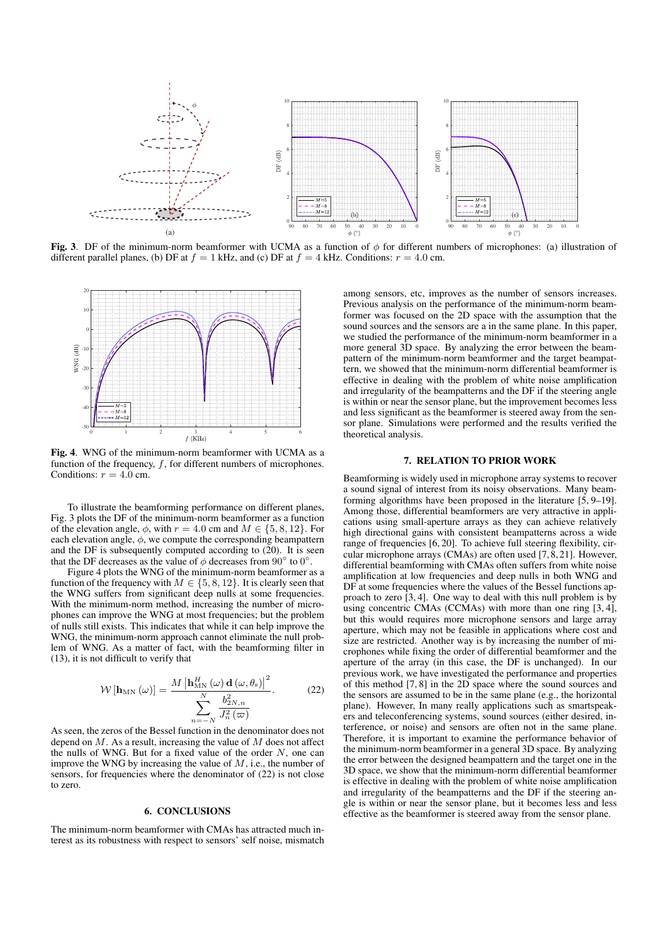

Fig. 3. DF of the minimum-norm beamformer with UCMA as a function of  $\phi$  for different numbers of microphones: (a) illustration of different parallel planes, (b) DF at  $f = 1$  kHz, and (c) DF at  $f = 4$  kHz. Conditions:  $r = 4.0$  cm.



Fig. 4. WNG of the minimum-norm beamformer with UCMA as a function of the frequency,  $f$ , for different numbers of microphones. Conditions:  $r = 4.0$  cm.

To illustrate the beamforming performance on different planes, Fig. 3 plots the DF of the minimum-norm beamformer as a function of the elevation angle,  $\phi$ , with  $r = 4.0$  cm and  $M \in \{5, 8, 12\}$ . For each elevation angle,  $\phi$ , we compute the corresponding beampattern and the DF is subsequently computed according to (20). It is seen that the DF decreases as the value of  $\phi$  decreases from  $90^{\circ}$  to  $0^{\circ}$ .

Figure 4 plots the WNG of the minimum-norm beamformer as a function of the frequency with  $M \in \{5, 8, 12\}$ . It is clearly seen that the WNG suffers from significant deep nulls at some frequencies. With the minimum-norm method, increasing the number of microphones can improve the WNG at most frequencies; but the problem of nulls still exists. This indicates that while it can help improve the WNG, the minimum-norm approach cannot eliminate the null problem of WNG. As a matter of fact, with the beamforming filter in (13), it is not difficult to verify that

$$
\mathcal{W}\left[\mathbf{h}_{\mathrm{MN}}\left(\omega\right)\right] = \frac{M\left|\mathbf{h}_{\mathrm{MN}}^{H}\left(\omega\right)\mathbf{d}\left(\omega,\theta_{\mathrm{s}}\right)\right|^{2}}{\sum_{n=-N}^{N}\frac{b_{2N,n}^{2}}{J_{n}^{2}\left(\varpi\right)}}.
$$
 (22)

As seen, the zeros of the Bessel function in the denominator does not depend on  $M$ . As a result, increasing the value of  $M$  does not affect the nulls of WNG. But for a fixed value of the order  $N$ , one can improve the WNG by increasing the value of  $M$ , i.e., the number of sensors, for frequencies where the denominator of (22) is not close to zero.

#### 6. CONCLUSIONS

The minimum-norm beamformer with CMAs has attracted much interest as its robustness with respect to sensors' self noise, mismatch among sensors, etc, improves as the number of sensors increases. Previous analysis on the performance of the minimum-norm beamformer was focused on the 2D space with the assumption that the sound sources and the sensors are a in the same plane. In this paper, we studied the performance of the minimum-norm beamformer in a more general 3D space. By analyzing the error between the beampattern of the minimum-norm beamformer and the target beampattern, we showed that the minimum-norm differential beamformer is effective in dealing with the problem of white noise amplification and irregularity of the beampatterns and the DF if the steering angle is within or near the sensor plane, but the improvement becomes less and less significant as the beamformer is steered away from the sensor plane. Simulations were performed and the results verified the theoretical analysis.

#### 7. RELATION TO PRIOR WORK

Beamforming is widely used in microphone array systems to recover a sound signal of interest from its noisy observations. Many beamforming algorithms have been proposed in the literature [5, 9–19]. Among those, differential beamformers are very attractive in applications using small-aperture arrays as they can achieve relatively high directional gains with consistent beampatterns across a wide range of frequencies [6, 20]. To achieve full steering flexibility, circular microphone arrays (CMAs) are often used [7, 8, 21]. However, differential beamforming with CMAs often suffers from white noise amplification at low frequencies and deep nulls in both WNG and DF at some frequencies where the values of the Bessel functions approach to zero [3, 4]. One way to deal with this null problem is by using concentric CMAs (CCMAs) with more than one ring [3, 4], but this would requires more microphone sensors and large array aperture, which may not be feasible in applications where cost and size are restricted. Another way is by increasing the number of microphones while fixing the order of differential beamformer and the aperture of the array (in this case, the DF is unchanged). In our previous work, we have investigated the performance and properties of this method [7, 8] in the 2D space where the sound sources and the sensors are assumed to be in the same plane (e.g., the horizontal plane). However, In many really applications such as smartspeakers and teleconferencing systems, sound sources (either desired, interference, or noise) and sensors are often not in the same plane. Therefore, it is important to examine the performance behavior of the minimum-norm beamformer in a general 3D space. By analyzing the error between the designed beampattern and the target one in the 3D space, we show that the minimum-norm differential beamformer is effective in dealing with the problem of white noise amplification and irregularity of the beampatterns and the DF if the steering angle is within or near the sensor plane, but it becomes less and less effective as the beamformer is steered away from the sensor plane.